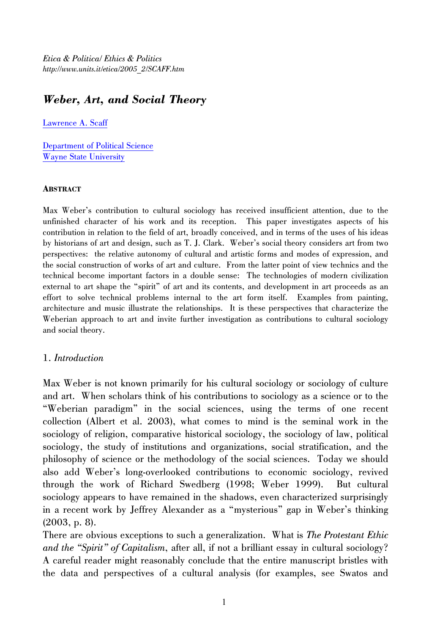*Etica & Politica/ Ethics & Politics http://www.units.it/etica/2005\_2/SCAFF.htm* 

# *Weber, Art, and Social Theory*

[Lawrence A. Scaff](mailto:l.scaff@wayne.edu)

[Department of Political Science](http://class.wayne.edu/PoliticalScience)  [Wayne State University](http://www.wayne.edu/)

#### **ABSTRACT**

Max Weber's contribution to cultural sociology has received insufficient attention, due to the unfinished character of his work and its reception. This paper investigates aspects of his contribution in relation to the field of art, broadly conceived, and in terms of the uses of his ideas by historians of art and design, such as T. J. Clark. Weber's social theory considers art from two perspectives: the relative autonomy of cultural and artistic forms and modes of expression, and the social construction of works of art and culture. From the latter point of view technics and the technical become important factors in a double sense: The technologies of modern civilization external to art shape the "spirit" of art and its contents, and development in art proceeds as an effort to solve technical problems internal to the art form itself. Examples from painting, architecture and music illustrate the relationships. It is these perspectives that characterize the Weberian approach to art and invite further investigation as contributions to cultural sociology and social theory.

#### 1. *Introduction*

Max Weber is not known primarily for his cultural sociology or sociology of culture and art. When scholars think of his contributions to sociology as a science or to the "Weberian paradigm" in the social sciences, using the terms of one recent collection (Albert et al. 2003), what comes to mind is the seminal work in the sociology of religion, comparative historical sociology, the sociology of law, political sociology, the study of institutions and organizations, social stratification, and the philosophy of science or the methodology of the social sciences. Today we should also add Weber's long-overlooked contributions to economic sociology, revived through the work of Richard Swedberg (1998; Weber 1999). But cultural sociology appears to have remained in the shadows, even characterized surprisingly in a recent work by Jeffrey Alexander as a "mysterious" gap in Weber's thinking (2003, p. 8).

There are obvious exceptions to such a generalization. What is *The Protestant Ethic and the "Spirit" of Capitalism*, after all, if not a brilliant essay in cultural sociology? A careful reader might reasonably conclude that the entire manuscript bristles with the data and perspectives of a cultural analysis (for examples, see Swatos and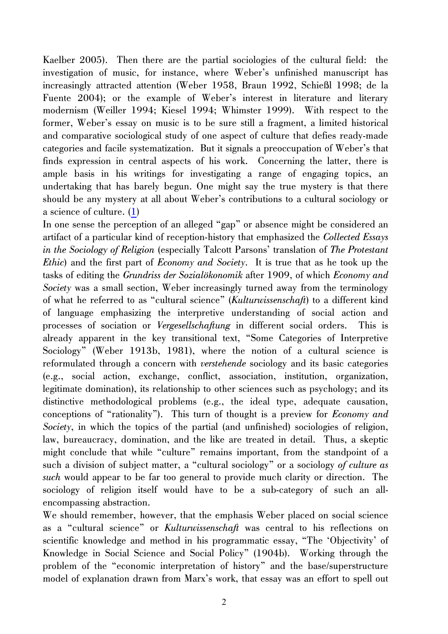<span id="page-1-0"></span>Kaelber 2005). Then there are the partial sociologies of the cultural field: the investigation of music, for instance, where Weber's unfinished manuscript has increasingly attracted attention (Weber 1958, Braun 1992, Schießl 1998; de la Fuente 2004); or the example of Weber's interest in literature and literary modernism (Weiller 1994; Kiesel 1994; Whimster 1999). With respect to the former, Weber's essay on music is to be sure still a fragment, a limited historical and comparative sociological study of one aspect of culture that defies ready-made categories and facile systematization. But it signals a preoccupation of Weber's that finds expression in central aspects of his work. Concerning the latter, there is ample basis in his writings for investigating a range of engaging topics, an undertaking that has barely begun. One might say the true mystery is that there should be any mystery at all about Weber's contributions to a cultural sociology or a science of culture. ([1](#page-19-0))

In one sense the perception of an alleged "gap" or absence might be considered an artifact of a particular kind of reception-history that emphasized the *Collected Essays in the Sociology of Religion* (especially Talcott Parsons' translation of *The Protestant Ethic*) and the first part of *Economy and Society*. It is true that as he took up the tasks of editing the *Grundriss der Sozialökonomik* after 1909, of which *Economy and Society* was a small section, Weber increasingly turned away from the terminology of what he referred to as "cultural science" (*Kulturwissenschaft*) to a different kind of language emphasizing the interpretive understanding of social action and processes of sociation or *Vergesellschaftung* in different social orders. This is already apparent in the key transitional text, "Some Categories of Interpretive Sociology" (Weber 1913b, 1981), where the notion of a cultural science is reformulated through a concern with *verstehende* sociology and its basic categories (e.g., social action, exchange, conflict, association, institution, organization, legitimate domination), its relationship to other sciences such as psychology; and its distinctive methodological problems (e.g., the ideal type, adequate causation, conceptions of "rationality"). This turn of thought is a preview for *Economy and Society*, in which the topics of the partial (and unfinished) sociologies of religion, law, bureaucracy, domination, and the like are treated in detail. Thus, a skeptic might conclude that while "culture" remains important, from the standpoint of a such a division of subject matter, a "cultural sociology" or a sociology *of culture as such* would appear to be far too general to provide much clarity or direction. The sociology of religion itself would have to be a sub-category of such an allencompassing abstraction.

We should remember, however, that the emphasis Weber placed on social science as a "cultural science" or *Kulturwissenschaft* was central to his reflections on scientific knowledge and method in his programmatic essay, "The 'Objectivity' of Knowledge in Social Science and Social Policy" (1904b). Working through the problem of the "economic interpretation of history" and the base/superstructure model of explanation drawn from Marx's work, that essay was an effort to spell out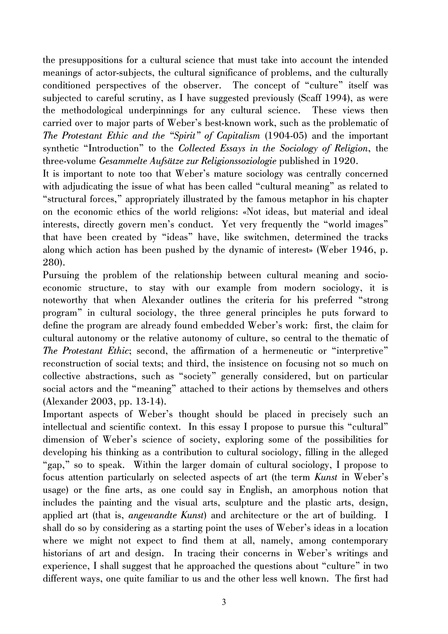the presuppositions for a cultural science that must take into account the intended meanings of actor-subjects, the cultural significance of problems, and the culturally conditioned perspectives of the observer. The concept of "culture" itself was subjected to careful scrutiny, as I have suggested previously (Scaff 1994), as were the methodological underpinnings for any cultural science. These views then carried over to major parts of Weber's best-known work, such as the problematic of *The Protestant Ethic and the "Spirit" of Capitalism* (1904-05) and the important synthetic "Introduction" to the *Collected Essays in the Sociology of Religion*, the three-volume *Gesammelte Aufsätze zur Religionssoziologie* published in 1920.

It is important to note too that Weber's mature sociology was centrally concerned with adjudicating the issue of what has been called "cultural meaning" as related to "structural forces," appropriately illustrated by the famous metaphor in his chapter on the economic ethics of the world religions: «Not ideas, but material and ideal interests, directly govern men's conduct. Yet very frequently the "world images" that have been created by "ideas" have, like switchmen, determined the tracks along which action has been pushed by the dynamic of interest» (Weber 1946, p. 280).

Pursuing the problem of the relationship between cultural meaning and socioeconomic structure, to stay with our example from modern sociology, it is noteworthy that when Alexander outlines the criteria for his preferred "strong program" in cultural sociology, the three general principles he puts forward to define the program are already found embedded Weber's work: first, the claim for cultural autonomy or the relative autonomy of culture, so central to the thematic of *The Protestant Ethic*; second, the affirmation of a hermeneutic or "interpretive" reconstruction of social texts; and third, the insistence on focusing not so much on collective abstractions, such as "society" generally considered, but on particular social actors and the "meaning" attached to their actions by themselves and others (Alexander 2003, pp. 13-14).

Important aspects of Weber's thought should be placed in precisely such an intellectual and scientific context. In this essay I propose to pursue this "cultural" dimension of Weber's science of society, exploring some of the possibilities for developing his thinking as a contribution to cultural sociology, filling in the alleged "gap," so to speak. Within the larger domain of cultural sociology, I propose to focus attention particularly on selected aspects of art (the term *Kunst* in Weber's usage) or the fine arts, as one could say in English, an amorphous notion that includes the painting and the visual arts, sculpture and the plastic arts, design, applied art (that is, *angewandte Kunst*) and architecture or the art of building. I shall do so by considering as a starting point the uses of Weber's ideas in a location where we might not expect to find them at all, namely, among contemporary historians of art and design. In tracing their concerns in Weber's writings and experience, I shall suggest that he approached the questions about "culture" in two different ways, one quite familiar to us and the other less well known. The first had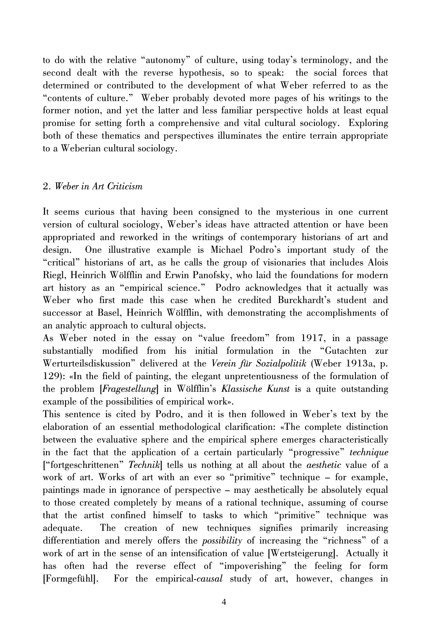to do with the relative "autonomy" of culture, using today's terminology, and the second dealt with the reverse hypothesis, so to speak: the social forces that determined or contributed to the development of what Weber referred to as the "contents of culture." Weber probably devoted more pages of his writings to the former notion, and yet the latter and less familiar perspective holds at least equal promise for setting forth a comprehensive and vital cultural sociology. Exploring both of these thematics and perspectives illuminates the entire terrain appropriate to a Weberian cultural sociology.

## 2. *Weber in Art Criticism*

It seems curious that having been consigned to the mysterious in one current version of cultural sociology, Weber's ideas have attracted attention or have been appropriated and reworked in the writings of contemporary historians of art and design. One illustrative example is Michael Podro's important study of the "critical" historians of art, as he calls the group of visionaries that includes Alois Riegl, Heinrich Wölfflin and Erwin Panofsky, who laid the foundations for modern art history as an "empirical science." Podro acknowledges that it actually was Weber who first made this case when he credited Burckhardt's student and successor at Basel, Heinrich Wölfflin, with demonstrating the accomplishments of an analytic approach to cultural objects.

As Weber noted in the essay on "value freedom" from 1917, in a passage substantially modified from his initial formulation in the "Gutachten zur Werturteilsdiskussion" delivered at the *Verein für Sozialpolitik* (Weber 1913a, p. 129): «In the field of painting, the elegant unpretentiousness of the formulation of the problem [*Fragestellung*] in Wölfflin's *Klassische Kunst* is a quite outstanding example of the possibilities of empirical work».

This sentence is cited by Podro, and it is then followed in Weber's text by the elaboration of an essential methodological clarification: «The complete distinction between the evaluative sphere and the empirical sphere emerges characteristically in the fact that the application of a certain particularly "progressive" *technique* ["fortgeschrittenen" *Technik*] tells us nothing at all about the *aesthetic* value of a work of art. Works of art with an ever so "primitive" technique – for example, paintings made in ignorance of perspective – may aesthetically be absolutely equal to those created completely by means of a rational technique, assuming of course that the artist confined himself to tasks to which "primitive" technique was adequate. The creation of new techniques signifies primarily increasing differentiation and merely offers the *possibility* of increasing the "richness" of a work of art in the sense of an intensification of value [Wertsteigerung]. Actually it has often had the reverse effect of "impoverishing" the feeling for form [Formgefühl]. For the empirical-*causal* study of art, however, changes in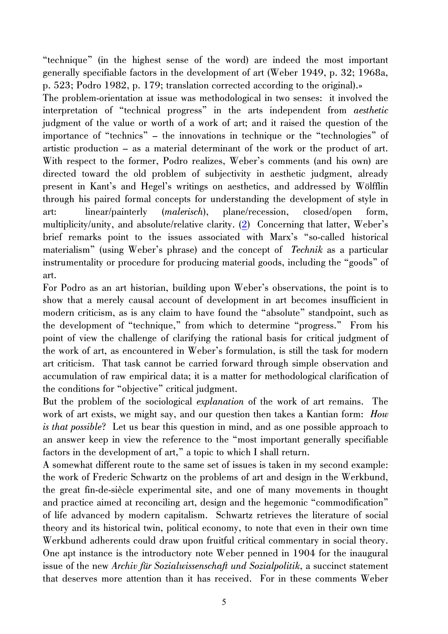<span id="page-4-0"></span>"technique" (in the highest sense of the word) are indeed the most important generally specifiable factors in the development of art (Weber 1949, p. 32; 1968a, p. 523; Podro 1982, p. 179; translation corrected according to the original).»

The problem-orientation at issue was methodological in two senses: it involved the interpretation of "technical progress" in the arts independent from *aesthetic* judgment of the value or worth of a work of art; and it raised the question of the importance of "technics" – the innovations in technique or the "technologies" of artistic production – as a material determinant of the work or the product of art. With respect to the former, Podro realizes, Weber's comments (and his own) are directed toward the old problem of subjectivity in aesthetic judgment, already present in Kant's and Hegel's writings on aesthetics, and addressed by Wölfflin through his paired formal concepts for understanding the development of style in art: linear/painterly (*malerisch*), plane/recession, closed/open form, multiplicity/unity, and absolute/relative clarity. ([2](#page-19-0)) Concerning that latter, Weber's brief remarks point to the issues associated with Marx's "so-called historical materialism" (using Weber's phrase) and the concept of *Technik* as a particular instrumentality or procedure for producing material goods, including the "goods" of art.

For Podro as an art historian, building upon Weber's observations, the point is to show that a merely causal account of development in art becomes insufficient in modern criticism, as is any claim to have found the "absolute" standpoint, such as the development of "technique," from which to determine "progress." From his point of view the challenge of clarifying the rational basis for critical judgment of the work of art, as encountered in Weber's formulation, is still the task for modern art criticism. That task cannot be carried forward through simple observation and accumulation of raw empirical data; it is a matter for methodological clarification of the conditions for "objective" critical judgment.

But the problem of the sociological *explanation* of the work of art remains. The work of art exists, we might say, and our question then takes a Kantian form: *How is that possible*? Let us bear this question in mind, and as one possible approach to an answer keep in view the reference to the "most important generally specifiable factors in the development of art," a topic to which I shall return.

A somewhat different route to the same set of issues is taken in my second example: the work of Frederic Schwartz on the problems of art and design in the Werkbund, the great fin-de-siècle experimental site, and one of many movements in thought and practice aimed at reconciling art, design and the hegemonic "commodification" of life advanced by modern capitalism. Schwartz retrieves the literature of social theory and its historical twin, political economy, to note that even in their own time Werkbund adherents could draw upon fruitful critical commentary in social theory. One apt instance is the introductory note Weber penned in 1904 for the inaugural issue of the new *Archiv für Sozialwissenschaft und Sozialpolitik*, a succinct statement that deserves more attention than it has received. For in these comments Weber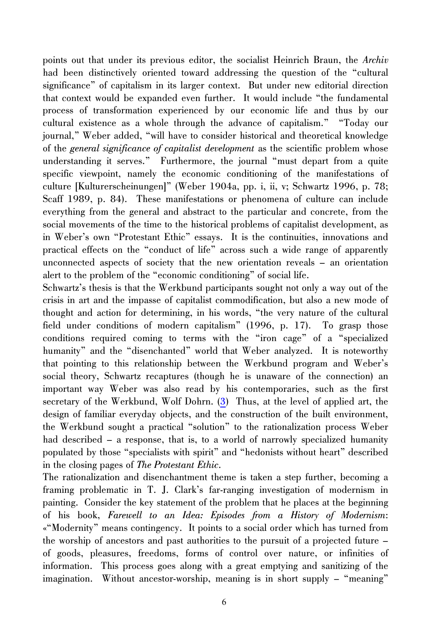<span id="page-5-0"></span>points out that under its previous editor, the socialist Heinrich Braun, the *Archiv* had been distinctively oriented toward addressing the question of the "cultural" significance" of capitalism in its larger context. But under new editorial direction that context would be expanded even further. It would include "the fundamental process of transformation experienced by our economic life and thus by our cultural existence as a whole through the advance of capitalism." "Today our journal," Weber added, "will have to consider historical and theoretical knowledge of the *general significance of capitalist development* as the scientific problem whose understanding it serves." Furthermore, the journal "must depart from a quite specific viewpoint, namely the economic conditioning of the manifestations of culture [Kulturerscheinungen]" (Weber 1904a, pp. i, ii, v; Schwartz 1996, p. 78; Scaff 1989, p. 84). These manifestations or phenomena of culture can include everything from the general and abstract to the particular and concrete, from the social movements of the time to the historical problems of capitalist development, as in Weber's own "Protestant Ethic" essays. It is the continuities, innovations and practical effects on the "conduct of life" across such a wide range of apparently unconnected aspects of society that the new orientation reveals – an orientation alert to the problem of the "economic conditioning" of social life.

Schwartz's thesis is that the Werkbund participants sought not only a way out of the crisis in art and the impasse of capitalist commodification, but also a new mode of thought and action for determining, in his words, "the very nature of the cultural field under conditions of modern capitalism" (1996, p. 17). To grasp those conditions required coming to terms with the "iron cage" of a "specialized humanity" and the "disenchanted" world that Weber analyzed. It is noteworthy that pointing to this relationship between the Werkbund program and Weber's social theory, Schwartz recaptures (though he is unaware of the connection) an important way Weber was also read by his contemporaries, such as the first secretary of the Werkbund, Wolf Dohrn. [\(3\)](#page-19-0) Thus, at the level of applied art, the design of familiar everyday objects, and the construction of the built environment, the Werkbund sought a practical "solution" to the rationalization process Weber had described – a response, that is, to a world of narrowly specialized humanity populated by those "specialists with spirit" and "hedonists without heart" described in the closing pages of *The Protestant Ethic*.

The rationalization and disenchantment theme is taken a step further, becoming a framing problematic in T. J. Clark's far-ranging investigation of modernism in painting. Consider the key statement of the problem that he places at the beginning of his book, *Farewell to an Idea: Episodes from a History of Modernism*: «"Modernity" means contingency. It points to a social order which has turned from the worship of ancestors and past authorities to the pursuit of a projected future – of goods, pleasures, freedoms, forms of control over nature, or infinities of information. This process goes along with a great emptying and sanitizing of the imagination. Without ancestor-worship, meaning is in short supply – "meaning"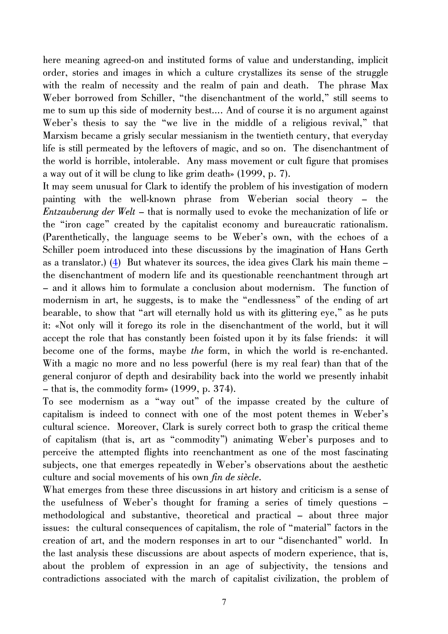<span id="page-6-0"></span>here meaning agreed-on and instituted forms of value and understanding, implicit order, stories and images in which a culture crystallizes its sense of the struggle with the realm of necessity and the realm of pain and death. The phrase Max Weber borrowed from Schiller, "the disenchantment of the world," still seems to me to sum up this side of modernity best…. And of course it is no argument against Weber's thesis to say the "we live in the middle of a religious revival," that Marxism became a grisly secular messianism in the twentieth century, that everyday life is still permeated by the leftovers of magic, and so on. The disenchantment of the world is horrible, intolerable. Any mass movement or cult figure that promises a way out of it will be clung to like grim death» (1999, p. 7).

It may seem unusual for Clark to identify the problem of his investigation of modern painting with the well-known phrase from Weberian social theory – the *Entzauberung der Welt* – that is normally used to evoke the mechanization of life or the "iron cage" created by the capitalist economy and bureaucratic rationalism. (Parenthetically, the language seems to be Weber's own, with the echoes of a Schiller poem introduced into these discussions by the imagination of Hans Gerth as a translator.) [\(4\)](#page-19-0) But whatever its sources, the idea gives Clark his main theme – the disenchantment of modern life and its questionable reenchantment through art – and it allows him to formulate a conclusion about modernism. The function of modernism in art, he suggests, is to make the "endlessness" of the ending of art bearable, to show that "art will eternally hold us with its glittering eye," as he puts it: «Not only will it forego its role in the disenchantment of the world, but it will accept the role that has constantly been foisted upon it by its false friends: it will become one of the forms, maybe *the* form, in which the world is re-enchanted. With a magic no more and no less powerful (here is my real fear) than that of the general conjuror of depth and desirability back into the world we presently inhabit – that is, the commodity form» (1999, p. 374).

To see modernism as a "way out" of the impasse created by the culture of capitalism is indeed to connect with one of the most potent themes in Weber's cultural science. Moreover, Clark is surely correct both to grasp the critical theme of capitalism (that is, art as "commodity") animating Weber's purposes and to perceive the attempted flights into reenchantment as one of the most fascinating subjects, one that emerges repeatedly in Weber's observations about the aesthetic culture and social movements of his own *fin de siècle*.

What emerges from these three discussions in art history and criticism is a sense of the usefulness of Weber's thought for framing a series of timely questions – methodological and substantive, theoretical and practical – about three major issues: the cultural consequences of capitalism, the role of "material" factors in the creation of art, and the modern responses in art to our "disenchanted" world. In the last analysis these discussions are about aspects of modern experience, that is, about the problem of expression in an age of subjectivity, the tensions and contradictions associated with the march of capitalist civilization, the problem of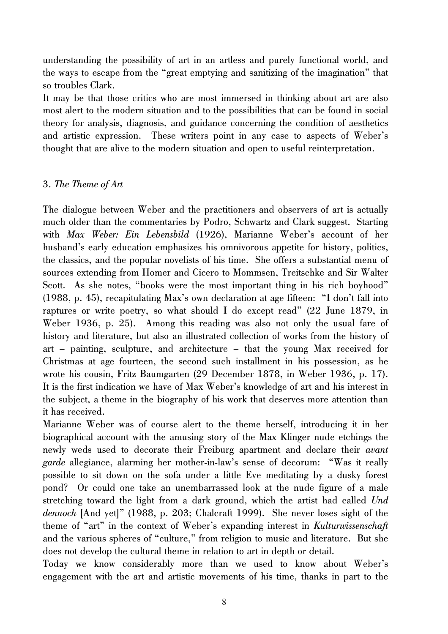understanding the possibility of art in an artless and purely functional world, and the ways to escape from the "great emptying and sanitizing of the imagination" that so troubles Clark.

It may be that those critics who are most immersed in thinking about art are also most alert to the modern situation and to the possibilities that can be found in social theory for analysis, diagnosis, and guidance concerning the condition of aesthetics and artistic expression. These writers point in any case to aspects of Weber's thought that are alive to the modern situation and open to useful reinterpretation.

## 3. *The Theme of Art*

The dialogue between Weber and the practitioners and observers of art is actually much older than the commentaries by Podro, Schwartz and Clark suggest. Starting with *Max Weber: Ein Lebensbild* (1926), Marianne Weber's account of her husband's early education emphasizes his omnivorous appetite for history, politics, the classics, and the popular novelists of his time. She offers a substantial menu of sources extending from Homer and Cicero to Mommsen, Treitschke and Sir Walter Scott. As she notes, "books were the most important thing in his rich boyhood" (1988, p. 45), recapitulating Max's own declaration at age fifteen: "I don't fall into raptures or write poetry, so what should I do except read" (22 June 1879, in Weber 1936, p. 25). Among this reading was also not only the usual fare of history and literature, but also an illustrated collection of works from the history of art – painting, sculpture, and architecture – that the young Max received for Christmas at age fourteen, the second such installment in his possession, as he wrote his cousin, Fritz Baumgarten (29 December 1878, in Weber 1936, p. 17). It is the first indication we have of Max Weber's knowledge of art and his interest in the subject, a theme in the biography of his work that deserves more attention than it has received.

Marianne Weber was of course alert to the theme herself, introducing it in her biographical account with the amusing story of the Max Klinger nude etchings the newly weds used to decorate their Freiburg apartment and declare their *avant garde* allegiance, alarming her mother-in-law's sense of decorum: "Was it really possible to sit down on the sofa under a little Eve meditating by a dusky forest pond? Or could one take an unembarrassed look at the nude figure of a male stretching toward the light from a dark ground, which the artist had called *Und dennoch* [And yet]" (1988, p. 203; Chalcraft 1999). She never loses sight of the theme of "art" in the context of Weber's expanding interest in *Kulturwissenschaft* and the various spheres of "culture," from religion to music and literature. But she does not develop the cultural theme in relation to art in depth or detail.

Today we know considerably more than we used to know about Weber's engagement with the art and artistic movements of his time, thanks in part to the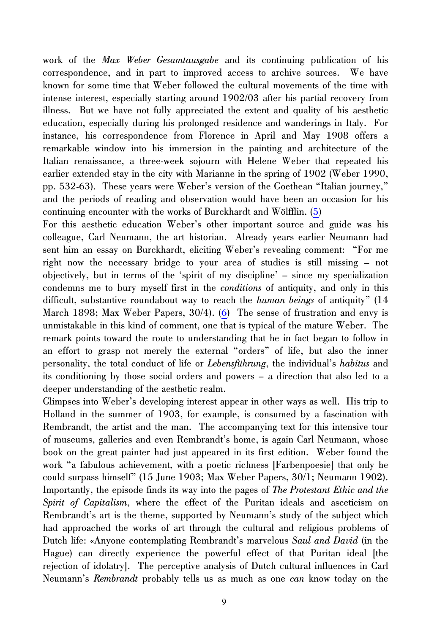<span id="page-8-0"></span>work of the *Max Weber Gesamtausgabe* and its continuing publication of his correspondence, and in part to improved access to archive sources. We have known for some time that Weber followed the cultural movements of the time with intense interest, especially starting around 1902/03 after his partial recovery from illness. But we have not fully appreciated the extent and quality of his aesthetic education, especially during his prolonged residence and wanderings in Italy. For instance, his correspondence from Florence in April and May 1908 offers a remarkable window into his immersion in the painting and architecture of the Italian renaissance, a three-week sojourn with Helene Weber that repeated his earlier extended stay in the city with Marianne in the spring of 1902 (Weber 1990, pp. 532-63). These years were Weber's version of the Goethean "Italian journey," and the periods of reading and observation would have been an occasion for his continuing encounter with the works of Burckhardt and Wölfflin. ([5](#page-19-0))

For this aesthetic education Weber's other important source and guide was his colleague, Carl Neumann, the art historian. Already years earlier Neumann had sent him an essay on Burckhardt, eliciting Weber's revealing comment: "For me right now the necessary bridge to your area of studies is still missing – not objectively, but in terms of the 'spirit of my discipline' – since my specialization condemns me to bury myself first in the *conditions* of antiquity, and only in this difficult, substantive roundabout way to reach the *human beings* of antiquity" (14 March 1898; Max Weber Papers, 30/4). ([6](#page-20-0)) The sense of frustration and envy is unmistakable in this kind of comment, one that is typical of the mature Weber. The remark points toward the route to understanding that he in fact began to follow in an effort to grasp not merely the external "orders" of life, but also the inner personality, the total conduct of life or *Lebensführung*, the individual's *habitus* and its conditioning by those social orders and powers – a direction that also led to a deeper understanding of the aesthetic realm.

Glimpses into Weber's developing interest appear in other ways as well. His trip to Holland in the summer of 1903, for example, is consumed by a fascination with Rembrandt, the artist and the man. The accompanying text for this intensive tour of museums, galleries and even Rembrandt's home, is again Carl Neumann, whose book on the great painter had just appeared in its first edition. Weber found the work "a fabulous achievement, with a poetic richness [Farbenpoesie] that only he could surpass himself" (15 June 1903; Max Weber Papers, 30/1; Neumann 1902). Importantly, the episode finds its way into the pages of *The Protestant Ethic and the Spirit of Capitalism*, where the effect of the Puritan ideals and asceticism on Rembrandt's art is the theme, supported by Neumann's study of the subject which had approached the works of art through the cultural and religious problems of Dutch life: «Anyone contemplating Rembrandt's marvelous *Saul and David* (in the Hague) can directly experience the powerful effect of that Puritan ideal [the rejection of idolatry]. The perceptive analysis of Dutch cultural influences in Carl Neumann's *Rembrandt* probably tells us as much as one *can* know today on the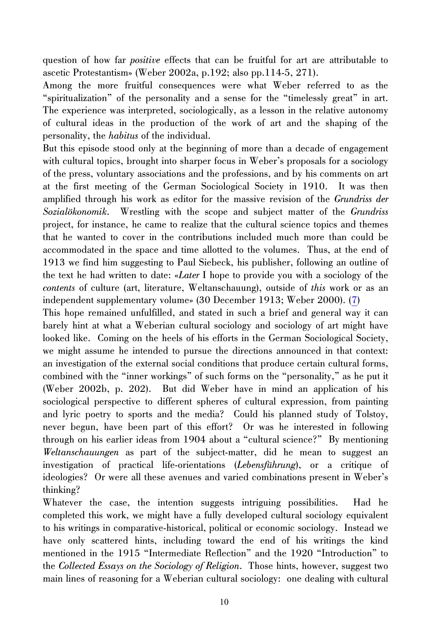<span id="page-9-0"></span>question of how far *positive* effects that can be fruitful for art are attributable to ascetic Protestantism» (Weber 2002a, p.192; also pp.114-5, 271).

Among the more fruitful consequences were what Weber referred to as the "spiritualization" of the personality and a sense for the "timelessly great" in art. The experience was interpreted, sociologically, as a lesson in the relative autonomy of cultural ideas in the production of the work of art and the shaping of the personality, the *habitus* of the individual.

But this episode stood only at the beginning of more than a decade of engagement with cultural topics, brought into sharper focus in Weber's proposals for a sociology of the press, voluntary associations and the professions, and by his comments on art at the first meeting of the German Sociological Society in 1910. It was then amplified through his work as editor for the massive revision of the *Grundriss der Sozialökonomik*. Wrestling with the scope and subject matter of the *Grundriss* project, for instance, he came to realize that the cultural science topics and themes that he wanted to cover in the contributions included much more than could be accommodated in the space and time allotted to the volumes. Thus, at the end of 1913 we find him suggesting to Paul Siebeck, his publisher, following an outline of the text he had written to date: «*Later* I hope to provide you with a sociology of the *contents* of culture (art, literature, Weltanschauung), outside of *this* work or as an independent supplementary volume» (30 December 1913; Weber 2000). ([7](#page-20-0))

This hope remained unfulfilled, and stated in such a brief and general way it can barely hint at what a Weberian cultural sociology and sociology of art might have looked like. Coming on the heels of his efforts in the German Sociological Society, we might assume he intended to pursue the directions announced in that context: an investigation of the external social conditions that produce certain cultural forms, combined with the "inner workings" of such forms on the "personality," as he put it (Weber 2002b, p. 202). But did Weber have in mind an application of his sociological perspective to different spheres of cultural expression, from painting and lyric poetry to sports and the media? Could his planned study of Tolstoy, never begun, have been part of this effort? Or was he interested in following through on his earlier ideas from 1904 about a "cultural science?" By mentioning *Weltanschauungen* as part of the subject-matter, did he mean to suggest an investigation of practical life-orientations (*Lebensführung*), or a critique of ideologies? Or were all these avenues and varied combinations present in Weber's thinking?

Whatever the case, the intention suggests intriguing possibilities. Had he completed this work, we might have a fully developed cultural sociology equivalent to his writings in comparative-historical, political or economic sociology. Instead we have only scattered hints, including toward the end of his writings the kind mentioned in the 1915 "Intermediate Reflection" and the 1920 "Introduction" to the *Collected Essays on the Sociology of Religion*. Those hints, however, suggest two main lines of reasoning for a Weberian cultural sociology: one dealing with cultural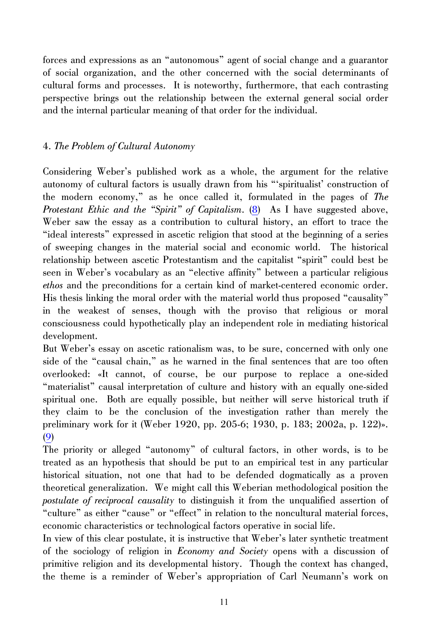<span id="page-10-0"></span>forces and expressions as an "autonomous" agent of social change and a guarantor of social organization, and the other concerned with the social determinants of cultural forms and processes. It is noteworthy, furthermore, that each contrasting perspective brings out the relationship between the external general social order and the internal particular meaning of that order for the individual.

# 4. *The Problem of Cultural Autonomy*

Considering Weber's published work as a whole, the argument for the relative autonomy of cultural factors is usually drawn from his "'spiritualist' construction of the modern economy," as he once called it, formulated in the pages of *The Protestant Ethic and the "Spirit" of Capitalism*. ([8](#page-20-0)) As I have suggested above, Weber saw the essay as a contribution to cultural history, an effort to trace the "ideal interests" expressed in ascetic religion that stood at the beginning of a series of sweeping changes in the material social and economic world. The historical relationship between ascetic Protestantism and the capitalist "spirit" could best be seen in Weber's vocabulary as an "elective affinity" between a particular religious *ethos* and the preconditions for a certain kind of market-centered economic order. His thesis linking the moral order with the material world thus proposed "causality" in the weakest of senses, though with the proviso that religious or moral consciousness could hypothetically play an independent role in mediating historical development.

But Weber's essay on ascetic rationalism was, to be sure, concerned with only one side of the "causal chain," as he warned in the final sentences that are too often overlooked: «It cannot, of course, be our purpose to replace a one-sided "materialist" causal interpretation of culture and history with an equally one-sided spiritual one. Both are equally possible, but neither will serve historical truth if they claim to be the conclusion of the investigation rather than merely the preliminary work for it (Weber 1920, pp. 205-6; 1930, p. 183; 2002a, p. 122)». ([9](#page-20-0))

The priority or alleged "autonomy" of cultural factors, in other words, is to be treated as an hypothesis that should be put to an empirical test in any particular historical situation, not one that had to be defended dogmatically as a proven theoretical generalization. We might call this Weberian methodological position the *postulate of reciprocal causality* to distinguish it from the unqualified assertion of "culture" as either "cause" or "effect" in relation to the noncultural material forces, economic characteristics or technological factors operative in social life.

In view of this clear postulate, it is instructive that Weber's later synthetic treatment of the sociology of religion in *Economy and Society* opens with a discussion of primitive religion and its developmental history. Though the context has changed, the theme is a reminder of Weber's appropriation of Carl Neumann's work on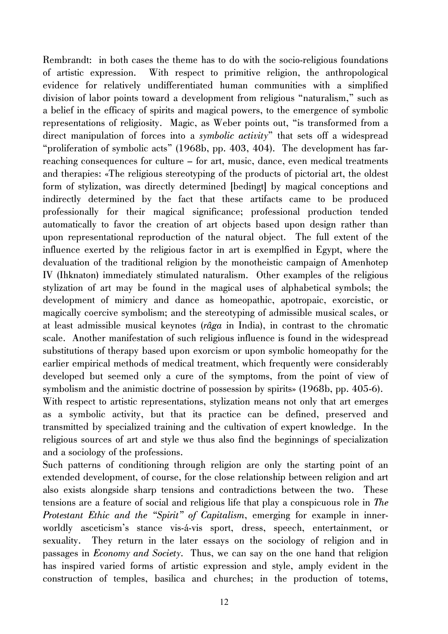Rembrandt: in both cases the theme has to do with the socio-religious foundations of artistic expression. With respect to primitive religion, the anthropological evidence for relatively undifferentiated human communities with a simplified division of labor points toward a development from religious "naturalism," such as a belief in the efficacy of spirits and magical powers, to the emergence of symbolic representations of religiosity. Magic, as Weber points out, "is transformed from a direct manipulation of forces into a *symbolic activity*" that sets off a widespread "proliferation of symbolic acts" (1968b, pp. 403, 404). The development has farreaching consequences for culture – for art, music, dance, even medical treatments and therapies: «The religious stereotyping of the products of pictorial art, the oldest form of stylization, was directly determined [bedingt] by magical conceptions and indirectly determined by the fact that these artifacts came to be produced professionally for their magical significance; professional production tended automatically to favor the creation of art objects based upon design rather than upon representational reproduction of the natural object. The full extent of the influence exerted by the religious factor in art is exemplfied in Egypt, where the devaluation of the traditional religion by the monotheistic campaign of Amenhotep IV (Ihknaton) immediately stimulated naturalism. Other examples of the religious stylization of art may be found in the magical uses of alphabetical symbols; the development of mimicry and dance as homeopathic, apotropaic, exorcistic, or magically coercive symbolism; and the stereotyping of admissible musical scales, or at least admissible musical keynotes (*râga* in India), in contrast to the chromatic scale. Another manifestation of such religious influence is found in the widespread substitutions of therapy based upon exorcism or upon symbolic homeopathy for the earlier empirical methods of medical treatment, which frequently were considerably developed but seemed only a cure of the symptoms, from the point of view of symbolism and the animistic doctrine of possession by spirits» (1968b, pp. 405-6). With respect to artistic representations, stylization means not only that art emerges as a symbolic activity, but that its practice can be defined, preserved and transmitted by specialized training and the cultivation of expert knowledge. In the

Such patterns of conditioning through religion are only the starting point of an extended development, of course, for the close relationship between religion and art also exists alongside sharp tensions and contradictions between the two. These tensions are a feature of social and religious life that play a conspicuous role in *The Protestant Ethic and the "Spirit" of Capitalism*, emerging for example in innerworldly asceticism's stance vis-á-vis sport, dress, speech, entertainment, or sexuality. They return in the later essays on the sociology of religion and in passages in *Economy and Society*. Thus, we can say on the one hand that religion has inspired varied forms of artistic expression and style, amply evident in the construction of temples, basilica and churches; in the production of totems,

religious sources of art and style we thus also find the beginnings of specialization

and a sociology of the professions.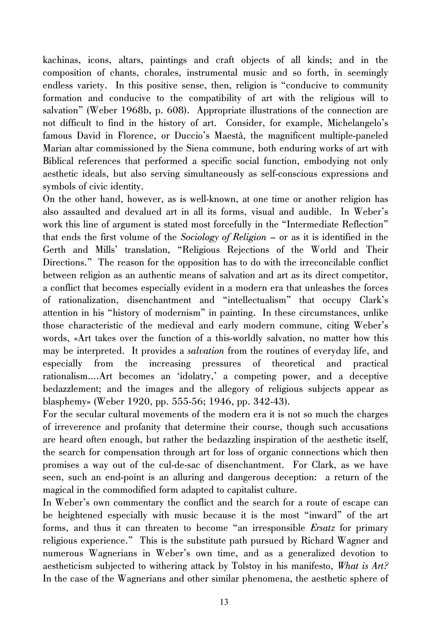kachinas, icons, altars, paintings and craft objects of all kinds; and in the composition of chants, chorales, instrumental music and so forth, in seemingly endless variety. In this positive sense, then, religion is "conducive to community formation and conducive to the compatibility of art with the religious will to salvation" (Weber 1968b, p. 608). Appropriate illustrations of the connection are not difficult to find in the history of art. Consider, for example, Michelangelo's famous David in Florence, or Duccio's Maestà, the magnificent multiple-paneled Marian altar commissioned by the Siena commune, both enduring works of art with Biblical references that performed a specific social function, embodying not only aesthetic ideals, but also serving simultaneously as self-conscious expressions and symbols of civic identity.

On the other hand, however, as is well-known, at one time or another religion has also assaulted and devalued art in all its forms, visual and audible. In Weber's work this line of argument is stated most forcefully in the "Intermediate Reflection" that ends the first volume of the *Sociology of Religion* – or as it is identified in the Gerth and Mills' translation, "Religious Rejections of the World and Their Directions." The reason for the opposition has to do with the irreconcilable conflict between religion as an authentic means of salvation and art as its direct competitor, a conflict that becomes especially evident in a modern era that unleashes the forces of rationalization, disenchantment and "intellectualism" that occupy Clark's attention in his "history of modernism" in painting. In these circumstances, unlike those characteristic of the medieval and early modern commune, citing Weber's words, «Art takes over the function of a this-worldly salvation, no matter how this may be interpreted. It provides a *salvation* from the routines of everyday life, and especially from the increasing pressures of theoretical and practical rationalism….Art becomes an 'idolatry,' a competing power, and a deceptive bedazzlement; and the images and the allegory of religious subjects appear as blasphemy» (Weber 1920, pp. 555-56; 1946, pp. 342-43).

For the secular cultural movements of the modern era it is not so much the charges of irreverence and profanity that determine their course, though such accusations are heard often enough, but rather the bedazzling inspiration of the aesthetic itself, the search for compensation through art for loss of organic connections which then promises a way out of the cul-de-sac of disenchantment. For Clark, as we have seen, such an end-point is an alluring and dangerous deception: a return of the magical in the commodified form adapted to capitalist culture.

In Weber's own commentary the conflict and the search for a route of escape can be heightened especially with music because it is the most "inward" of the art forms, and thus it can threaten to become "an irresponsible *Ersatz* for primary religious experience." This is the substitute path pursued by Richard Wagner and numerous Wagnerians in Weber's own time, and as a generalized devotion to aestheticism subjected to withering attack by Tolstoy in his manifesto, *What is Art?* In the case of the Wagnerians and other similar phenomena, the aesthetic sphere of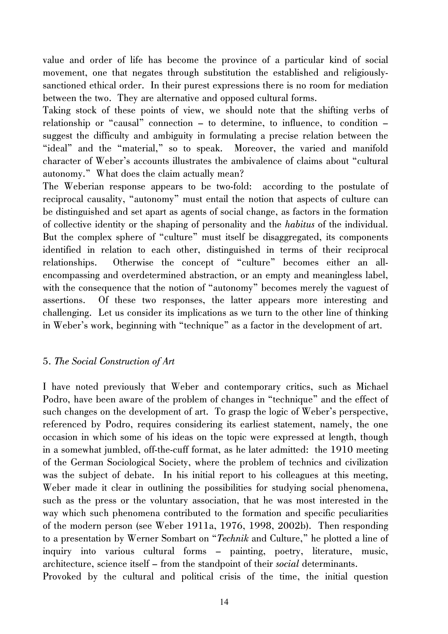value and order of life has become the province of a particular kind of social movement, one that negates through substitution the established and religiouslysanctioned ethical order. In their purest expressions there is no room for mediation between the two. They are alternative and opposed cultural forms.

Taking stock of these points of view, we should note that the shifting verbs of relationship or "causal" connection – to determine, to influence, to condition – suggest the difficulty and ambiguity in formulating a precise relation between the "ideal" and the "material," so to speak. Moreover, the varied and manifold character of Weber's accounts illustrates the ambivalence of claims about "cultural autonomy." What does the claim actually mean?

The Weberian response appears to be two-fold: according to the postulate of reciprocal causality, "autonomy" must entail the notion that aspects of culture can be distinguished and set apart as agents of social change, as factors in the formation of collective identity or the shaping of personality and the *habitus* of the individual. But the complex sphere of "culture" must itself be disaggregated, its components identified in relation to each other, distinguished in terms of their reciprocal relationships. Otherwise the concept of "culture" becomes either an allencompassing and overdetermined abstraction, or an empty and meaningless label, with the consequence that the notion of "autonomy" becomes merely the vaguest of assertions. Of these two responses, the latter appears more interesting and challenging. Let us consider its implications as we turn to the other line of thinking in Weber's work, beginning with "technique" as a factor in the development of art.

#### 5. *The Social Construction of Art*

I have noted previously that Weber and contemporary critics, such as Michael Podro, have been aware of the problem of changes in "technique" and the effect of such changes on the development of art. To grasp the logic of Weber's perspective, referenced by Podro, requires considering its earliest statement, namely, the one occasion in which some of his ideas on the topic were expressed at length, though in a somewhat jumbled, off-the-cuff format, as he later admitted: the 1910 meeting of the German Sociological Society, where the problem of technics and civilization was the subject of debate. In his initial report to his colleagues at this meeting, Weber made it clear in outlining the possibilities for studying social phenomena, such as the press or the voluntary association, that he was most interested in the way which such phenomena contributed to the formation and specific peculiarities of the modern person (see Weber 1911a, 1976, 1998, 2002b). Then responding to a presentation by Werner Sombart on "*Technik* and Culture," he plotted a line of inquiry into various cultural forms – painting, poetry, literature, music, architecture, science itself – from the standpoint of their *social* determinants.

Provoked by the cultural and political crisis of the time, the initial question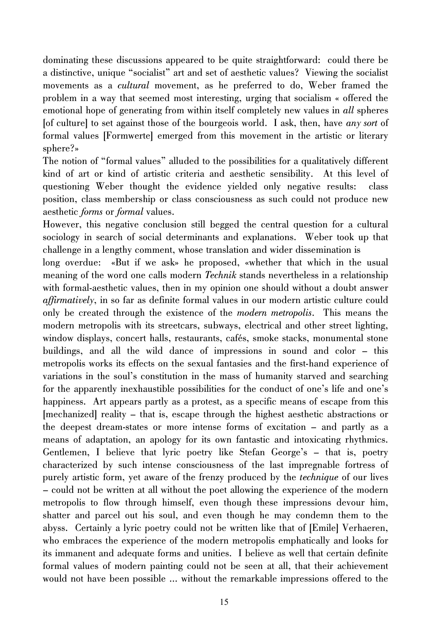dominating these discussions appeared to be quite straightforward: could there be a distinctive, unique "socialist" art and set of aesthetic values? Viewing the socialist movements as a *cultural* movement, as he preferred to do, Weber framed the problem in a way that seemed most interesting, urging that socialism « offered the emotional hope of generating from within itself completely new values in *all* spheres [of culture] to set against those of the bourgeois world. I ask, then, have *any sort* of formal values [Formwerte] emerged from this movement in the artistic or literary sphere?»

The notion of "formal values" alluded to the possibilities for a qualitatively different kind of art or kind of artistic criteria and aesthetic sensibility. At this level of questioning Weber thought the evidence yielded only negative results: class position, class membership or class consciousness as such could not produce new aesthetic *forms* or *formal* values.

However, this negative conclusion still begged the central question for a cultural sociology in search of social determinants and explanations. Weber took up that challenge in a lengthy comment, whose translation and wider dissemination is

long overdue: «But if we ask» he proposed, «whether that which in the usual meaning of the word one calls modern *Technik* stands nevertheless in a relationship with formal-aesthetic values, then in my opinion one should without a doubt answer *affirmatively*, in so far as definite formal values in our modern artistic culture could only be created through the existence of the *modern metropolis*. This means the modern metropolis with its streetcars, subways, electrical and other street lighting, window displays, concert halls, restaurants, cafés, smoke stacks, monumental stone buildings, and all the wild dance of impressions in sound and color – this metropolis works its effects on the sexual fantasies and the first-hand experience of variations in the soul's constitution in the mass of humanity starved and searching for the apparently inexhaustible possibilities for the conduct of one's life and one's happiness. Art appears partly as a protest, as a specific means of escape from this [mechanized] reality – that is, escape through the highest aesthetic abstractions or the deepest dream-states or more intense forms of excitation – and partly as a means of adaptation, an apology for its own fantastic and intoxicating rhythmics. Gentlemen, I believe that lyric poetry like Stefan George's – that is, poetry characterized by such intense consciousness of the last impregnable fortress of purely artistic form, yet aware of the frenzy produced by the *technique* of our lives – could not be written at all without the poet allowing the experience of the modern metropolis to flow through himself, even though these impressions devour him, shatter and parcel out his soul, and even though he may condemn them to the abyss. Certainly a lyric poetry could not be written like that of [Emile] Verhaeren, who embraces the experience of the modern metropolis emphatically and looks for its immanent and adequate forms and unities. I believe as well that certain definite formal values of modern painting could not be seen at all, that their achievement would not have been possible … without the remarkable impressions offered to the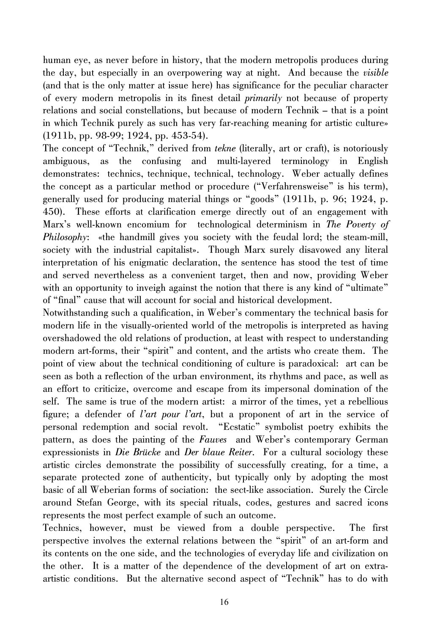human eye, as never before in history, that the modern metropolis produces during the day, but especially in an overpowering way at night. And because the *visible* (and that is the only matter at issue here) has significance for the peculiar character of every modern metropolis in its finest detail *primarily* not because of property relations and social constellations, but because of modern Technik – that is a point in which Technik purely as such has very far-reaching meaning for artistic culture» (1911b, pp. 98-99; 1924, pp. 453-54).

The concept of "Technik," derived from *tekne* (literally, art or craft), is notoriously ambiguous, as the confusing and multi-layered terminology in English demonstrates: technics, technique, technical, technology. Weber actually defines the concept as a particular method or procedure ("Verfahrensweise" is his term), generally used for producing material things or "goods" (1911b, p. 96; 1924, p. 450). These efforts at clarification emerge directly out of an engagement with Marx's well-known encomium for technological determinism in *The Poverty of Philosophy*: «the handmill gives you society with the feudal lord; the steam-mill, society with the industrial capitalist». Though Marx surely disavowed any literal interpretation of his enigmatic declaration, the sentence has stood the test of time and served nevertheless as a convenient target, then and now, providing Weber with an opportunity to inveigh against the notion that there is any kind of "ultimate" of "final" cause that will account for social and historical development.

Notwithstanding such a qualification, in Weber's commentary the technical basis for modern life in the visually-oriented world of the metropolis is interpreted as having overshadowed the old relations of production, at least with respect to understanding modern art-forms, their "spirit" and content, and the artists who create them. The point of view about the technical conditioning of culture is paradoxical: art can be seen as both a reflection of the urban environment, its rhythms and pace, as well as an effort to criticize, overcome and escape from its impersonal domination of the self. The same is true of the modern artist: a mirror of the times, yet a rebellious figure; a defender of *l'art pour l'art*, but a proponent of art in the service of personal redemption and social revolt. "Ecstatic" symbolist poetry exhibits the pattern, as does the painting of the *Fauves* and Weber's contemporary German expressionists in *Die Brücke* and *Der blaue Reiter*. For a cultural sociology these artistic circles demonstrate the possibility of successfully creating, for a time, a separate protected zone of authenticity, but typically only by adopting the most basic of all Weberian forms of sociation: the sect-like association. Surely the Circle around Stefan George, with its special rituals, codes, gestures and sacred icons represents the most perfect example of such an outcome.

Technics, however, must be viewed from a double perspective. The first perspective involves the external relations between the "spirit" of an art-form and its contents on the one side, and the technologies of everyday life and civilization on the other. It is a matter of the dependence of the development of art on extraartistic conditions. But the alternative second aspect of "Technik" has to do with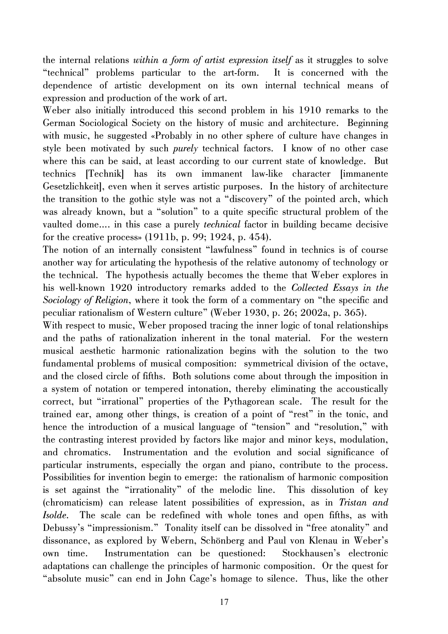the internal relations *within a form of artist expression itself* as it struggles to solve "technical" problems particular to the art-form. It is concerned with the dependence of artistic development on its own internal technical means of expression and production of the work of art.

Weber also initially introduced this second problem in his 1910 remarks to the German Sociological Society on the history of music and architecture. Beginning with music, he suggested «Probably in no other sphere of culture have changes in style been motivated by such *purely* technical factors. I know of no other case where this can be said, at least according to our current state of knowledge. But technics [Technik] has its own immanent law-like character [immanente Gesetzlichkeit], even when it serves artistic purposes. In the history of architecture the transition to the gothic style was not a "discovery" of the pointed arch, which was already known, but a "solution" to a quite specific structural problem of the vaulted dome…. in this case a purely *technical* factor in building became decisive for the creative process» (1911b, p. 99; 1924, p. 454).

The notion of an internally consistent "lawfulness" found in technics is of course another way for articulating the hypothesis of the relative autonomy of technology or the technical. The hypothesis actually becomes the theme that Weber explores in his well-known 1920 introductory remarks added to the *Collected Essays in the Sociology of Religion*, where it took the form of a commentary on "the specific and peculiar rationalism of Western culture" (Weber 1930, p. 26; 2002a, p. 365).

With respect to music, Weber proposed tracing the inner logic of tonal relationships and the paths of rationalization inherent in the tonal material. For the western musical aesthetic harmonic rationalization begins with the solution to the two fundamental problems of musical composition: symmetrical division of the octave, and the closed circle of fifths. Both solutions come about through the imposition in a system of notation or tempered intonation, thereby eliminating the accoustically correct, but "irrational" properties of the Pythagorean scale. The result for the trained ear, among other things, is creation of a point of "rest" in the tonic, and hence the introduction of a musical language of "tension" and "resolution," with the contrasting interest provided by factors like major and minor keys, modulation, and chromatics. Instrumentation and the evolution and social significance of particular instruments, especially the organ and piano, contribute to the process. Possibilities for invention begin to emerge: the rationalism of harmonic composition is set against the "irrationality" of the melodic line. This dissolution of key (chromaticism) can release latent possibilities of expression, as in *Tristan and Isolde*. The scale can be redefined with whole tones and open fifths, as with Debussy's "impressionism." Tonality itself can be dissolved in "free atonality" and dissonance, as explored by Webern, Schönberg and Paul von Klenau in Weber's own time. Instrumentation can be questioned: Stockhausen's electronic adaptations can challenge the principles of harmonic composition. Or the quest for "absolute music" can end in John Cage's homage to silence. Thus, like the other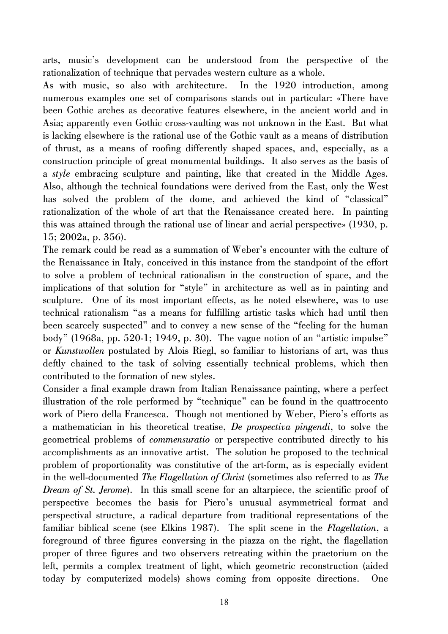arts, music's development can be understood from the perspective of the rationalization of technique that pervades western culture as a whole.

As with music, so also with architecture. In the 1920 introduction, among numerous examples one set of comparisons stands out in particular: «There have been Gothic arches as decorative features elsewhere, in the ancient world and in Asia; apparently even Gothic cross-vaulting was not unknown in the East. But what is lacking elsewhere is the rational use of the Gothic vault as a means of distribution of thrust, as a means of roofing differently shaped spaces, and, especially, as a construction principle of great monumental buildings. It also serves as the basis of a *style* embracing sculpture and painting, like that created in the Middle Ages. Also, although the technical foundations were derived from the East, only the West has solved the problem of the dome, and achieved the kind of "classical" rationalization of the whole of art that the Renaissance created here. In painting this was attained through the rational use of linear and aerial perspective» (1930, p. 15; 2002a, p. 356).

The remark could be read as a summation of Weber's encounter with the culture of the Renaissance in Italy, conceived in this instance from the standpoint of the effort to solve a problem of technical rationalism in the construction of space, and the implications of that solution for "style" in architecture as well as in painting and sculpture. One of its most important effects, as he noted elsewhere, was to use technical rationalism "as a means for fulfilling artistic tasks which had until then been scarcely suspected" and to convey a new sense of the "feeling for the human body" (1968a, pp. 520-1; 1949, p. 30). The vague notion of an "artistic impulse" or *Kunstwollen* postulated by Alois Riegl, so familiar to historians of art, was thus deftly chained to the task of solving essentially technical problems, which then contributed to the formation of new styles.

Consider a final example drawn from Italian Renaissance painting, where a perfect illustration of the role performed by "technique" can be found in the quattrocento work of Piero della Francesca. Though not mentioned by Weber, Piero's efforts as a mathematician in his theoretical treatise, *De prospectiva pingendi*, to solve the geometrical problems of *commensuratio* or perspective contributed directly to his accomplishments as an innovative artist. The solution he proposed to the technical problem of proportionality was constitutive of the art-form, as is especially evident in the well-documented *The Flagellation of Christ* (sometimes also referred to as *The Dream of St. Jerome*). In this small scene for an altarpiece, the scientific proof of perspective becomes the basis for Piero's unusual asymmetrical format and perspectival structure, a radical departure from traditional representations of the familiar biblical scene (see Elkins 1987). The split scene in the *Flagellation*, a foreground of three figures conversing in the piazza on the right, the flagellation proper of three figures and two observers retreating within the praetorium on the left, permits a complex treatment of light, which geometric reconstruction (aided today by computerized models) shows coming from opposite directions. One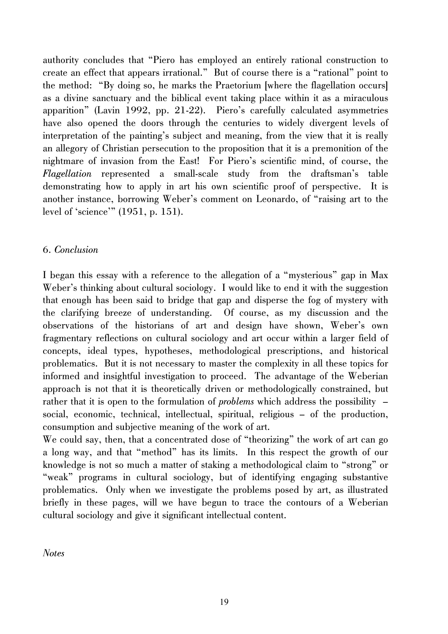authority concludes that "Piero has employed an entirely rational construction to create an effect that appears irrational." But of course there is a "rational" point to the method: "By doing so, he marks the Praetorium [where the flagellation occurs] as a divine sanctuary and the biblical event taking place within it as a miraculous apparition" (Lavin 1992, pp. 21-22). Piero's carefully calculated asymmetries have also opened the doors through the centuries to widely divergent levels of interpretation of the painting's subject and meaning, from the view that it is really an allegory of Christian persecution to the proposition that it is a premonition of the nightmare of invasion from the East! For Piero's scientific mind, of course, the *Flagellation* represented a small-scale study from the draftsman's table demonstrating how to apply in art his own scientific proof of perspective. It is another instance, borrowing Weber's comment on Leonardo, of "raising art to the level of 'science'" (1951, p. 151).

## 6. *Conclusion*

I began this essay with a reference to the allegation of a "mysterious" gap in Max Weber's thinking about cultural sociology. I would like to end it with the suggestion that enough has been said to bridge that gap and disperse the fog of mystery with the clarifying breeze of understanding. Of course, as my discussion and the observations of the historians of art and design have shown, Weber's own fragmentary reflections on cultural sociology and art occur within a larger field of concepts, ideal types, hypotheses, methodological prescriptions, and historical problematics. But it is not necessary to master the complexity in all these topics for informed and insightful investigation to proceed. The advantage of the Weberian approach is not that it is theoretically driven or methodologically constrained, but rather that it is open to the formulation of *problems* which address the possibility – social, economic, technical, intellectual, spiritual, religious – of the production, consumption and subjective meaning of the work of art.

We could say, then, that a concentrated dose of "theorizing" the work of art can go a long way, and that "method" has its limits. In this respect the growth of our knowledge is not so much a matter of staking a methodological claim to "strong" or "weak" programs in cultural sociology, but of identifying engaging substantive problematics. Only when we investigate the problems posed by art, as illustrated briefly in these pages, will we have begun to trace the contours of a Weberian cultural sociology and give it significant intellectual content.

*Notes*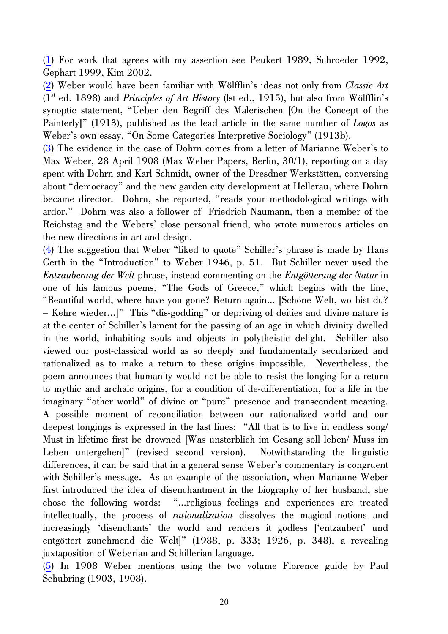<span id="page-19-0"></span>([1](#page-1-0)) For work that agrees with my assertion see Peukert 1989, Schroeder 1992, Gephart 1999, Kim 2002.

([2](#page-4-0)) Weber would have been familiar with Wölfflin's ideas not only from *Classic Art* (1st ed. 1898) and *Principles of Art History* (lst ed., 1915), but also from Wölfflin's synoptic statement, "Ueber den Begriff des Malerischen [On the Concept of the Painterly]" (1913), published as the lead article in the same number of *Logos* as Weber's own essay, "On Some Categories Interpretive Sociology" (1913b).

([3](#page-5-0)) The evidence in the case of Dohrn comes from a letter of Marianne Weber's to Max Weber, 28 April 1908 (Max Weber Papers, Berlin, 30/1), reporting on a day spent with Dohrn and Karl Schmidt, owner of the Dresdner Werkstätten, conversing about "democracy" and the new garden city development at Hellerau, where Dohrn became director. Dohrn, she reported, "reads your methodological writings with ardor." Dohrn was also a follower of Friedrich Naumann, then a member of the Reichstag and the Webers' close personal friend, who wrote numerous articles on the new directions in art and design.

([4](#page-6-0)) The suggestion that Weber "liked to quote" Schiller's phrase is made by Hans Gerth in the "Introduction" to Weber 1946, p. 51. But Schiller never used the *Entzauberung der Welt* phrase, instead commenting on the *Entgötterung der Natur* in one of his famous poems, "The Gods of Greece," which begins with the line, "Beautiful world, where have you gone? Return again… [Schöne Welt, wo bist du? – Kehre wieder…]" This "dis-godding" or depriving of deities and divine nature is at the center of Schiller's lament for the passing of an age in which divinity dwelled in the world, inhabiting souls and objects in polytheistic delight. Schiller also viewed our post-classical world as so deeply and fundamentally secularized and rationalized as to make a return to these origins impossible. Nevertheless, the poem announces that humanity would not be able to resist the longing for a return to mythic and archaic origins, for a condition of de-differentiation, for a life in the imaginary "other world" of divine or "pure" presence and transcendent meaning. A possible moment of reconciliation between our rationalized world and our deepest longings is expressed in the last lines: "All that is to live in endless song/ Must in lifetime first be drowned [Was unsterblich im Gesang soll leben/ Muss im Leben untergehen]" (revised second version). Notwithstanding the linguistic differences, it can be said that in a general sense Weber's commentary is congruent with Schiller's message. As an example of the association, when Marianne Weber first introduced the idea of disenchantment in the biography of her husband, she chose the following words: "…religious feelings and experiences are treated intellectually, the process of *rationalization* dissolves the magical notions and increasingly 'disenchants' the world and renders it godless ['entzaubert' und entgöttert zunehmend die Welt]" (1988, p. 333; 1926, p. 348), a revealing juxtaposition of Weberian and Schillerian language.

([5](#page-8-0)) In 1908 Weber mentions using the two volume Florence guide by Paul Schubring (1903, 1908).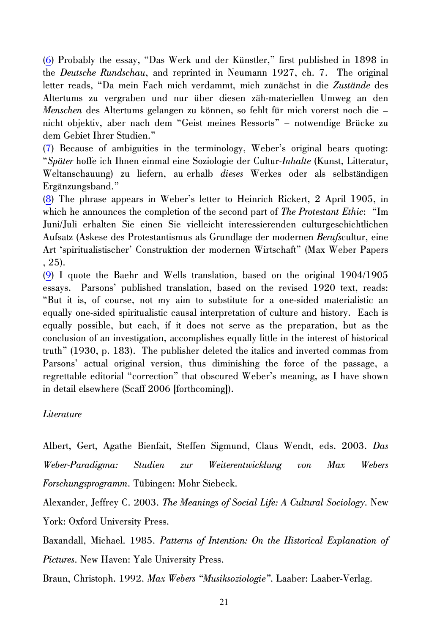<span id="page-20-0"></span>([6](#page-8-0)) Probably the essay, "Das Werk und der Künstler," first published in 1898 in the *Deutsche Rundschau*, and reprinted in Neumann 1927, ch. 7. The original letter reads, "Da mein Fach mich verdammt, mich zunächst in die *Zustände* des Altertums zu vergraben und nur über diesen zäh-materiellen Umweg an den *Menschen* des Altertums gelangen zu können, so fehlt für mich vorerst noch die – nicht objektiv, aber nach dem "Geist meines Ressorts" – notwendige Brücke zu dem Gebiet Ihrer Studien."

([7](#page-9-0)) Because of ambiguities in the terminology, Weber's original bears quoting: "*Später* hoffe ich Ihnen einmal eine Soziologie der Cultur-*Inhalte* (Kunst, Litteratur, Weltanschauung) zu liefern, auerhalb *dieses* Werkes oder als selbständigen Ergänzungsband."

([8](#page-10-0)) The phrase appears in Weber's letter to Heinrich Rickert, 2 April 1905, in which he announces the completion of the second part of *The Protestant Ethic*: "Im Juni/Juli erhalten Sie einen Sie vielleicht interessierenden culturgeschichtlichen Aufsatz (Askese des Protestantismus als Grundlage der modernen *Berufs*cultur, eine Art 'spiritualistischer' Construktion der modernen Wirtschaft" (Max Weber Papers , 25).

([9](#page-10-0)) I quote the Baehr and Wells translation, based on the original 1904/1905 essays. Parsons' published translation, based on the revised 1920 text, reads: "But it is, of course, not my aim to substitute for a one-sided materialistic an equally one-sided spiritualistic causal interpretation of culture and history. Each is equally possible, but each, if it does not serve as the preparation, but as the conclusion of an investigation, accomplishes equally little in the interest of historical truth" (1930, p. 183). The publisher deleted the italics and inverted commas from Parsons' actual original version, thus diminishing the force of the passage, a regrettable editorial "correction" that obscured Weber's meaning, as I have shown in detail elsewhere (Scaff 2006 [forthcoming]).

#### *Literature*

Albert, Gert, Agathe Bienfait, Steffen Sigmund, Claus Wendt, eds. 2003. *Das Weber-Paradigma: Studien zur Weiterentwicklung von Max Webers Forschungsprogramm*. Tübingen: Mohr Siebeck.

Alexander, Jeffrey C. 2003. *The Meanings of Social Life: A Cultural Sociology*. New York: Oxford University Press.

Baxandall, Michael. 1985. *Patterns of Intention: On the Historical Explanation of Pictures*. New Haven: Yale University Press.

Braun, Christoph. 1992. *Max Webers "Musiksoziologie"*. Laaber: Laaber-Verlag.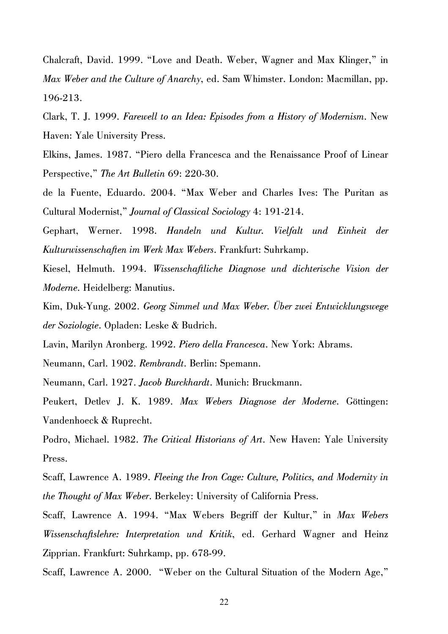Chalcraft, David. 1999. "Love and Death. Weber, Wagner and Max Klinger," in *Max Weber and the Culture of Anarchy*, ed. Sam Whimster. London: Macmillan, pp. 196-213.

Clark, T. J. 1999. *Farewell to an Idea: Episodes from a History of Modernism*. New Haven: Yale University Press.

Elkins, James. 1987. "Piero della Francesca and the Renaissance Proof of Linear Perspective," *The Art Bulletin* 69: 220-30.

de la Fuente, Eduardo. 2004. "Max Weber and Charles Ives: The Puritan as Cultural Modernist," *Journal of Classical Sociology* 4: 191-214.

Gephart, Werner. 1998. *Handeln und Kultur. Vielfalt und Einheit der Kulturwissenschaften im Werk Max Webers*. Frankfurt: Suhrkamp.

Kiesel, Helmuth. 1994. *Wissenschaftliche Diagnose und dichterische Vision der Moderne*. Heidelberg: Manutius.

Kim, Duk-Yung. 2002. *Georg Simmel und Max Weber. Über zwei Entwicklungswege der Soziologie*. Opladen: Leske & Budrich.

Lavin, Marilyn Aronberg. 1992. *Piero della Francesca*. New York: Abrams.

Neumann, Carl. 1902. *Rembrandt*. Berlin: Spemann.

Neumann, Carl. 1927. *Jacob Burckhardt*. Munich: Bruckmann.

Peukert, Detlev J. K. 1989. *Max Webers Diagnose der Moderne*. Göttingen: Vandenhoeck & Ruprecht.

Podro, Michael. 1982. *The Critical Historians of Art*. New Haven: Yale University Press.

Scaff, Lawrence A. 1989. *Fleeing the Iron Cage: Culture, Politics, and Modernity in the Thought of Max Weber*. Berkeley: University of California Press.

Scaff, Lawrence A. 1994. "Max Webers Begriff der Kultur," in *Max Webers Wissenschaftslehre: Interpretation und Kritik*, ed. Gerhard Wagner and Heinz Zipprian. Frankfurt: Suhrkamp, pp. 678-99.

Scaff, Lawrence A. 2000. "Weber on the Cultural Situation of the Modern Age,"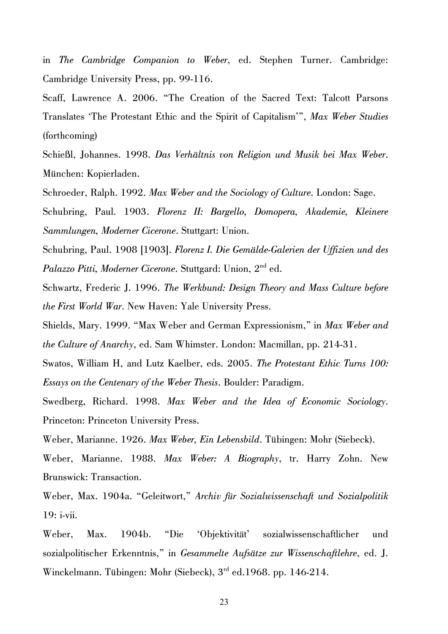in *The Cambridge Companion to Weber*, ed. Stephen Turner. Cambridge: Cambridge University Press, pp. 99-116.

Scaff, Lawrence A. 2006. "The Creation of the Sacred Text: Talcott Parsons Translates 'The Protestant Ethic and the Spirit of Capitalism'", *Max Weber Studies* (forthcoming)

Schießl, Johannes. 1998. *Das Verhältnis von Religion und Musik bei Max Weber*. München: Kopierladen.

Schroeder, Ralph. 1992. *Max Weber and the Sociology of Culture*. London: Sage.

Schubring, Paul. 1903. *Florenz II: Bargello, Domopera, Akademie, Kleinere Sammlungen, Moderner Cicerone*. Stuttgart: Union.

Schubring, Paul. 1908 [1903]. *Florenz I. Die Gemälde-Galerien der Uffizien und des Palazzo Pitti, Moderner Cicerone*. Stuttgard: Union, 2nd ed.

Schwartz, Frederic J. 1996. *The Werkbund: Design Theory and Mass Culture before the First World War*. New Haven: Yale University Press.

Shields, Mary. 1999. "Max Weber and German Expressionism," in *Max Weber and the Culture of Anarchy*, ed. Sam Whimster. London: Macmillan, pp. 214-31.

Swatos, William H, and Lutz Kaelber, eds. 2005. *The Protestant Ethic Turns 100: Essays on the Centenary of the Weber Thesis*. Boulder: Paradigm.

Swedberg, Richard. 1998. *Max Weber and the Idea of Economic Sociology*. Princeton: Princeton University Press.

Weber, Marianne. 1926. *Max Weber, Ein Lebensbild*. Tübingen: Mohr (Siebeck).

Weber, Marianne. 1988. *Max Weber: A Biography*, tr. Harry Zohn. New Brunswick: Transaction.

Weber, Max. 1904a. "Geleitwort," *Archiv für Sozialwissenschaft und Sozialpolitik* 19: i-vii.

Weber, Max. 1904b. "Die 'Objektivität' sozialwissenschaftlicher und sozialpolitischer Erkenntnis," in *Gesammelte Aufsätze zur Wissenschaftlehre*, ed. J. Winckelmann. Tübingen: Mohr (Siebeck), 3<sup>rd</sup> ed.1968. pp. 146-214.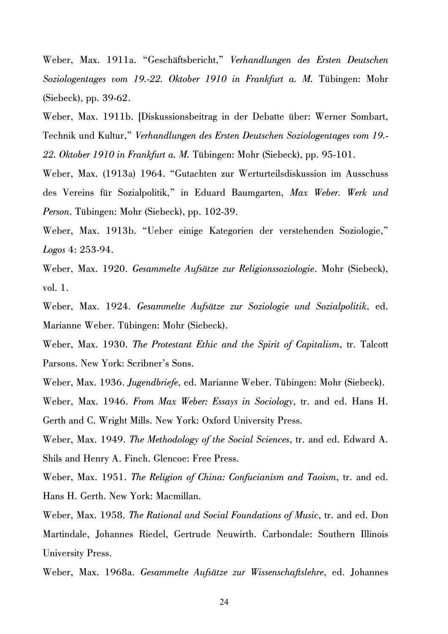Weber, Max. 1911a. "Geschäftsbericht," *Verhandlungen des Ersten Deutschen Soziologentages vom 19.-22. Oktober 1910 in Frankfurt a. M.* Tübingen: Mohr (Siebeck), pp. 39-62.

Weber, Max. 1911b. [Diskussionsbeitrag in der Debatte über: Werner Sombart, Technik und Kultur," *Verhandlungen des Ersten Deutschen Soziologentages vom 19.- 22. Oktober 1910 in Frankfurt a. M.* Tübingen: Mohr (Siebeck), pp. 95-101.

Weber, Max. (1913a) 1964. "Gutachten zur Werturteilsdiskussion im Ausschuss des Vereins für Sozialpolitik," in Eduard Baumgarten, *Max Weber. Werk und Person*. Tübingen: Mohr (Siebeck), pp. 102-39.

Weber, Max. 1913b. "Ueber einige Kategorien der verstehenden Soziologie," *Logos* 4: 253-94.

Weber, Max. 1920. *Gesammelte Aufsätze zur Religionssoziologie*. Mohr (Siebeck), vol. 1.

Weber, Max. 1924. *Gesammelte Aufsätze zur Soziologie und Sozialpolitik*, ed. Marianne Weber. Tübingen: Mohr (Siebeck).

Weber, Max. 1930. *The Protestant Ethic and the Spirit of Capitalism*, tr. Talcott Parsons. New York: Scribner's Sons.

Weber, Max. 1936. *Jugendbriefe*, ed. Marianne Weber. Tübingen: Mohr (Siebeck).

Weber, Max. 1946. *From Max Weber: Essays in Sociology*, tr. and ed. Hans H. Gerth and C. Wright Mills. New York: Oxford University Press.

Weber, Max. 1949. *The Methodology of the Social Sciences*, tr. and ed. Edward A. Shils and Henry A. Finch. Glencoe: Free Press.

Weber, Max. 1951. *The Religion of China: Confucianism and Taoism*, tr. and ed. Hans H. Gerth. New York: Macmillan.

Weber, Max. 1958. *The Rational and Social Foundations of Music*, tr. and ed. Don Martindale, Johannes Riedel, Gertrude Neuwirth. Carbondale: Southern Illinois University Press.

Weber, Max. 1968a. *Gesammelte Aufsätze zur Wissenschaftslehre*, ed. Johannes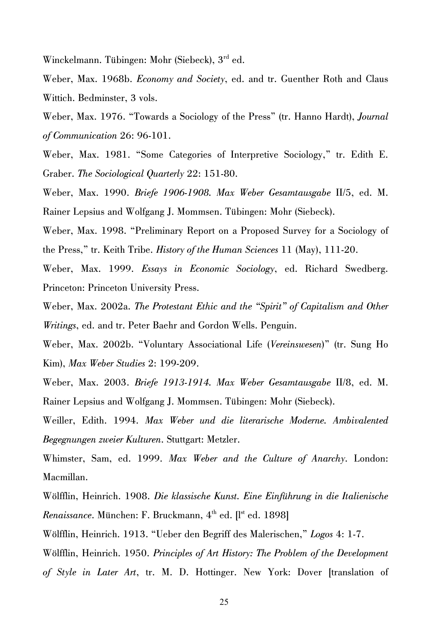Winckelmann. Tübingen: Mohr (Siebeck), 3<sup>rd</sup> ed.

Weber, Max. 1968b. *Economy and Society*, ed. and tr. Guenther Roth and Claus Wittich. Bedminster, 3 vols.

Weber, Max. 1976. "Towards a Sociology of the Press" (tr. Hanno Hardt), *Journal of Communication* 26: 96-101.

Weber, Max. 1981. "Some Categories of Interpretive Sociology," tr. Edith E. Graber. *The Sociological Quarterly* 22: 151-80.

Weber, Max. 1990. *Briefe 1906-1908. Max Weber Gesamtausgabe* II/5, ed. M. Rainer Lepsius and Wolfgang J. Mommsen. Tübingen: Mohr (Siebeck).

Weber, Max. 1998. "Preliminary Report on a Proposed Survey for a Sociology of the Press," tr. Keith Tribe. *History of the Human Sciences* 11 (May), 111-20.

Weber, Max. 1999. *Essays in Economic Sociology*, ed. Richard Swedberg. Princeton: Princeton University Press.

Weber, Max. 2002a. *The Protestant Ethic and the "Spirit" of Capitalism and Other Writings*, ed. and tr. Peter Baehr and Gordon Wells. Penguin.

Weber, Max. 2002b. "Voluntary Associational Life (*Vereinswesen*)" (tr. Sung Ho Kim), *Max Weber Studies* 2: 199-209.

Weber, Max. 2003. *Briefe 1913-1914. Max Weber Gesamtausgabe* II/8, ed. M. Rainer Lepsius and Wolfgang J. Mommsen. Tübingen: Mohr (Siebeck).

Weiller, Edith. 1994. *Max Weber und die literarische Moderne. Ambivalented Begegnungen zweier Kulturen*. Stuttgart: Metzler.

Whimster, Sam, ed. 1999. *Max Weber and the Culture of Anarchy*. London: Macmillan.

Wölfflin, Heinrich. 1908. *Die klassische Kunst. Eine Einführung in die Italienische Renaissance*. München: F. Bruckmann, 4<sup>th</sup> ed. [I<sup>st</sup> ed. 1898]

Wölfflin, Heinrich. 1913. "Ueber den Begriff des Malerischen," *Logos* 4: 1-7.

Wölfflin, Heinrich. 1950. *Principles of Art History: The Problem of the Development of Style in Later Art*, tr. M. D. Hottinger. New York: Dover [translation of